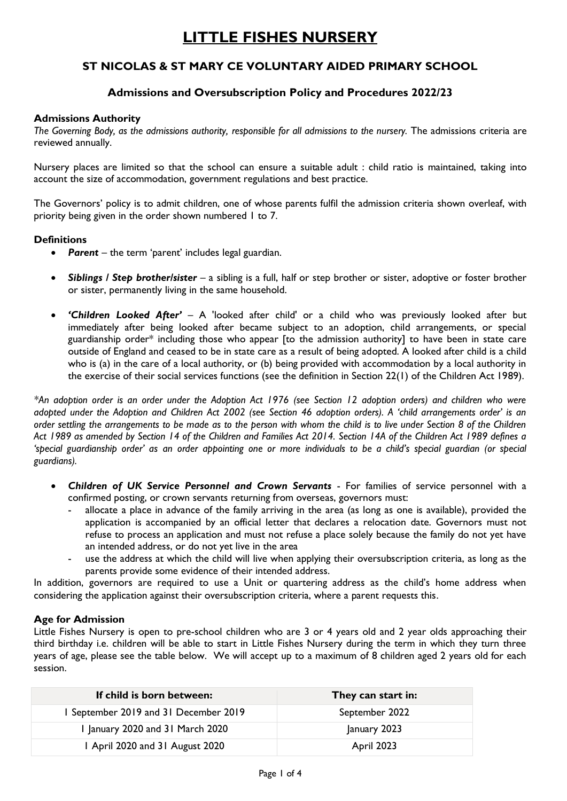# **LITTLE FISHES NURSERY**

# **ST NICOLAS & ST MARY CE VOLUNTARY AIDED PRIMARY SCHOOL**

# **Admissions and Oversubscription Policy and Procedures 2022/23**

#### **Admissions Authority**

*The Governing Body, as the admissions authority, responsible for all admissions to the nursery.* The admissions criteria are reviewed annually.

Nursery places are limited so that the school can ensure a suitable adult : child ratio is maintained, taking into account the size of accommodation, government regulations and best practice.

The Governors' policy is to admit children, one of whose parents fulfil the admission criteria shown overleaf, with priority being given in the order shown numbered 1 to 7.

# **Definitions**

- *Parent* the term 'parent' includes legal guardian.
- *Siblings / Step brother/sister* a sibling is a full, half or step brother or sister, adoptive or foster brother or sister, permanently living in the same household.
- *'Children Looked After' –* A 'looked after child' or a child who was previously looked after but immediately after being looked after became subject to an adoption, child arrangements, or special guardianship order\* including those who appear [to the admission authority] to have been in state care outside of England and ceased to be in state care as a result of being adopted. A looked after child is a child who is (a) in the care of a local authority, or (b) being provided with accommodation by a local authority in the exercise of their social services functions (see the definition in Section 22(1) of the Children Act 1989).

*\*An adoption order is an order under the Adoption Act 1976 (see Section 12 adoption orders) and children who were adopted under the Adoption and Children Act 2002 (see Section 46 adoption orders). A 'child arrangements order' is an order settling the arrangements to be made as to the person with whom the child is to live under Section 8 of the Children Act 1989 as amended by Section 14 of the Children and Families Act 2014. Section 14A of the Children Act 1989 defines a 'special guardianship order' as an order appointing one or more individuals to be a child's special guardian (or special guardians).*

- *Children of UK Service Personnel and Crown Servants* For families of service personnel with a confirmed posting, or crown servants returning from overseas, governors must:
	- allocate a place in advance of the family arriving in the area (as long as one is available), provided the application is accompanied by an official letter that declares a relocation date. Governors must not refuse to process an application and must not refuse a place solely because the family do not yet have an intended address, or do not yet live in the area
	- use the address at which the child will live when applying their oversubscription criteria, as long as the parents provide some evidence of their intended address.

In addition, governors are required to use a Unit or quartering address as the child's home address when considering the application against their oversubscription criteria, where a parent requests this.

#### **Age for Admission**

Little Fishes Nursery is open to pre-school children who are 3 or 4 years old and 2 year olds approaching their third birthday i.e. children will be able to start in Little Fishes Nursery during the term in which they turn three years of age, please see the table below. We will accept up to a maximum of 8 children aged 2 years old for each session.

| If child is born between:           | They can start in: |
|-------------------------------------|--------------------|
| September 2019 and 31 December 2019 | September 2022     |
| January 2020 and 31 March 2020      | January 2023       |
| 1 April 2020 and 31 August 2020     | April 2023         |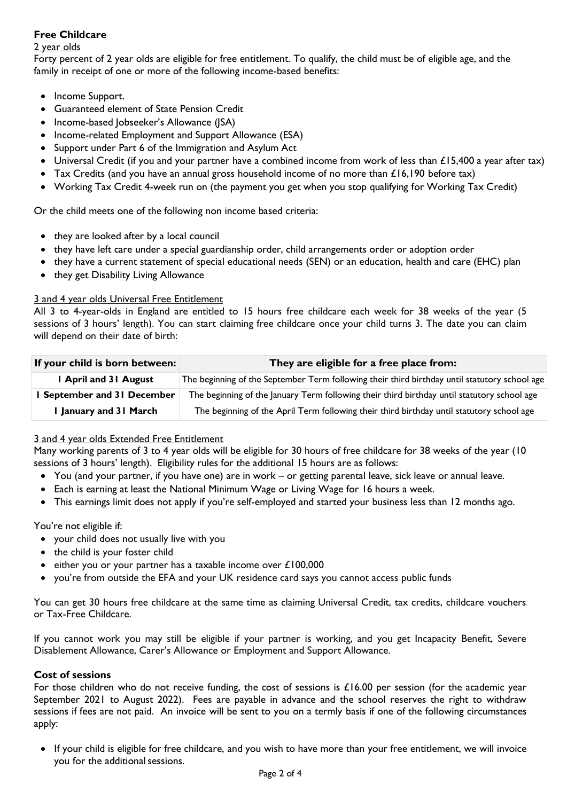# **Free Childcare**

# 2 year olds

Forty percent of 2 year olds are eligible for free entitlement. To qualify, the child must be of eligible age, and the family in receipt of one or more of the following income-based benefits:

- Income Support.
- Guaranteed element of State Pension Credit
- Income-based Jobseeker's Allowance (JSA)
- Income-related Employment and Support Allowance (ESA)
- Support under Part 6 of the Immigration and Asylum Act
- Universal Credit (if you and your partner have a combined income from work of less than £15,400 a year after tax)
- Tax Credits (and you have an annual gross household income of no more than  $\mathcal{L}16,190$  before tax)
- Working Tax Credit 4-week run on (the payment you get when you stop qualifying for Working Tax Credit)

Or the child meets one of the following non income based criteria:

- they are looked after by a local council
- they have left care under a special guardianship order, child arrangements order or adoption order
- they have a current statement of special educational needs (SEN) or an education, health and care (EHC) plan
- they get Disability Living Allowance

# 3 and 4 year olds Universal Free Entitlement

All 3 to 4-year-olds in England are entitled to 15 hours free childcare each week for 38 weeks of the year (5 sessions of 3 hours' length). You can start claiming free childcare once your child turns 3. The date you can claim will depend on their date of birth:

| If your child is born between: | They are eligible for a free place from:                                                      |  |
|--------------------------------|-----------------------------------------------------------------------------------------------|--|
| I April and 31 August          | The beginning of the September Term following their third birthday until statutory school age |  |
| September and 31 December      | The beginning of the January Term following their third birthday until statutory school age   |  |
| I January and 31 March         | The beginning of the April Term following their third birthday until statutory school age     |  |

# 3 and 4 year olds Extended Free Entitlement

Many working parents of 3 to 4 year olds will be eligible for 30 hours of free childcare for 38 weeks of the year (10 sessions of 3 hours' length). Eligibility rules for the additional 15 hours are as follows:

- You (and your partner, if you have one) are in work or getting parental leave, sick leave or annual leave.
- Each is earning at least the National Minimum Wage or Living Wage for 16 hours a week.
- This earnings limit does not apply if you're self-employed and started your business less than 12 months ago.

You're not eligible if:

- your child does not usually live with you
- the child is your foster child
- $\bullet$  either you or your partner has a taxable income over £100,000
- you're from outside the EFA and your UK residence card says you cannot access public funds

You can get 30 hours free childcare at the same time as claiming Universal Credit, tax credits, childcare vouchers or Tax-Free Childcare.

If you cannot work you may still be eligible if your partner is working, and you get Incapacity Benefit, Severe Disablement Allowance, Carer's Allowance or Employment and Support Allowance.

# **Cost of sessions**

For those children who do not receive funding, the cost of sessions is  $£16.00$  per session (for the academic year September 2021 to August 2022). Fees are payable in advance and the school reserves the right to withdraw sessions if fees are not paid. An invoice will be sent to you on a termly basis if one of the following circumstances apply:

 If your child is eligible for free childcare, and you wish to have more than your free entitlement, we will invoice you for the additional sessions.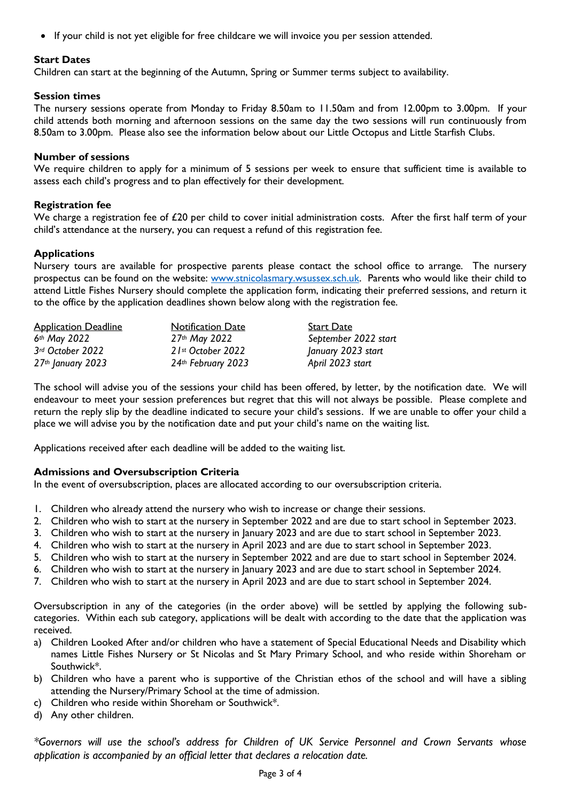If your child is not yet eligible for free childcare we will invoice you per session attended.

# **Start Dates**

Children can start at the beginning of the Autumn, Spring or Summer terms subject to availability.

#### **Session times**

The nursery sessions operate from Monday to Friday 8.50am to 11.50am and from 12.00pm to 3.00pm. If your child attends both morning and afternoon sessions on the same day the two sessions will run continuously from 8.50am to 3.00pm. Please also see the information below about our Little Octopus and Little Starfish Clubs.

#### **Number of sessions**

We require children to apply for a minimum of 5 sessions per week to ensure that sufficient time is available to assess each child's progress and to plan effectively for their development.

#### **Registration fee**

We charge a registration fee of £20 per child to cover initial administration costs. After the first half term of your child's attendance at the nursery, you can request a refund of this registration fee.

#### **Applications**

Nursery tours are available for prospective parents please contact the school office to arrange. The nursery prospectus can be found on the website: [www.stnicolasmary.wsussex.sch.uk.](http://www.stnicolasmary.wsussex.sch.uk/) Parents who would like their child to attend Little Fishes Nursery should complete the application form, indicating their preferred sessions, and return it to the office by the application deadlines shown below along with the registration fee.

| <b>Application Deadline</b> | <b>Notification Date</b> | <b>Start Date</b>    |
|-----------------------------|--------------------------|----------------------|
| $6th$ May 2022              | $27th$ May 2022          | September 2022 start |
| 3rd October 2022            | $21st$ October 2022      | January 2023 start   |
| $27th$ January 2023         | 24th February 2023       | April 2023 start     |

The school will advise you of the sessions your child has been offered, by letter, by the notification date. We will endeavour to meet your session preferences but regret that this will not always be possible. Please complete and return the reply slip by the deadline indicated to secure your child's sessions. If we are unable to offer your child a place we will advise you by the notification date and put your child's name on the waiting list.

Applications received after each deadline will be added to the waiting list.

#### **Admissions and Oversubscription Criteria**

In the event of oversubscription, places are allocated according to our oversubscription criteria.

- 1. Children who already attend the nursery who wish to increase or change their sessions.
- 2. Children who wish to start at the nursery in September 2022 and are due to start school in September 2023.
- 3. Children who wish to start at the nursery in January 2023 and are due to start school in September 2023.
- 4. Children who wish to start at the nursery in April 2023 and are due to start school in September 2023.
- 5. Children who wish to start at the nursery in September 2022 and are due to start school in September 2024.
- 6. Children who wish to start at the nursery in January 2023 and are due to start school in September 2024.
- 7. Children who wish to start at the nursery in April 2023 and are due to start school in September 2024.

Oversubscription in any of the categories (in the order above) will be settled by applying the following subcategories. Within each sub category, applications will be dealt with according to the date that the application was received.

- a) Children Looked After and/or children who have a statement of Special Educational Needs and Disability which names Little Fishes Nursery or St Nicolas and St Mary Primary School, and who reside within Shoreham or Southwick\*.
- b) Children who have a parent who is supportive of the Christian ethos of the school and will have a sibling attending the Nursery/Primary School at the time of admission.
- c) Children who reside within Shoreham or Southwick\*.
- d) Any other children.

*\*Governors will use the school's address for Children of UK Service Personnel and Crown Servants whose application is accompanied by an official letter that declares a relocation date.*